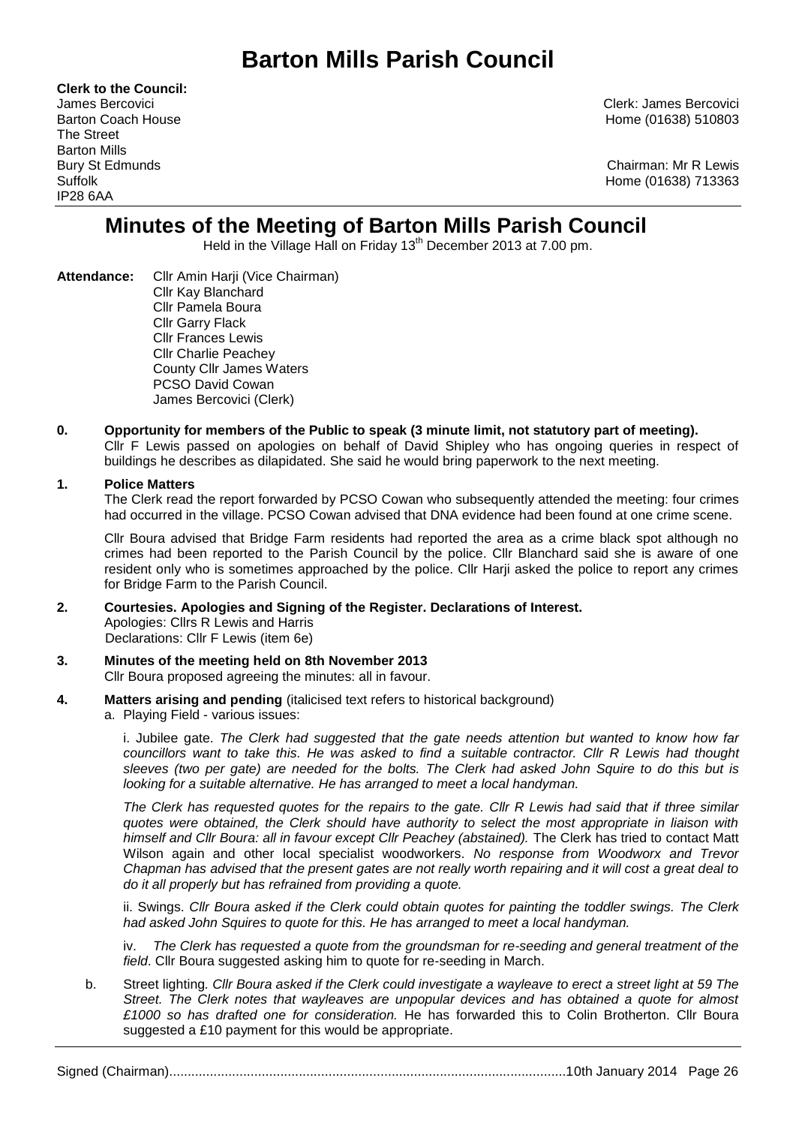# **Barton Mills Parish Council**

**Clerk to the Council:** The Street Barton Mills IP28 6AA

James Bercovici Clerk: James Bercovici Barton Coach House **Home (01638)** 510803

Bury St Edmunds Chairman: Mr R Lewis Suffolk Home (01638) 713363

## **Minutes of the Meeting of Barton Mills Parish Council**

Held in the Village Hall on Friday 13<sup>th</sup> December 2013 at 7.00 pm.

- **Attendance:** Cllr Amin Harji (Vice Chairman) Cllr Kay Blanchard Cllr Pamela Boura Cllr Garry Flack Cllr Frances Lewis Cllr Charlie Peachey County Cllr James Waters PCSO David Cowan James Bercovici (Clerk)
- **0. Opportunity for members of the Public to speak (3 minute limit, not statutory part of meeting).**  Cllr F Lewis passed on apologies on behalf of David Shipley who has ongoing queries in respect of buildings he describes as dilapidated. She said he would bring paperwork to the next meeting.

### **1. Police Matters**

The Clerk read the report forwarded by PCSO Cowan who subsequently attended the meeting: four crimes had occurred in the village. PCSO Cowan advised that DNA evidence had been found at one crime scene.

Cllr Boura advised that Bridge Farm residents had reported the area as a crime black spot although no crimes had been reported to the Parish Council by the police. Cllr Blanchard said she is aware of one resident only who is sometimes approached by the police. Cllr Harji asked the police to report any crimes for Bridge Farm to the Parish Council.

- **2. Courtesies. Apologies and Signing of the Register. Declarations of Interest.** Apologies: Cllrs R Lewis and Harris Declarations: Cllr F Lewis (item 6e)
- **3. Minutes of the meeting held on 8th November 2013** Cllr Boura proposed agreeing the minutes: all in favour.
- **4. Matters arising and pending** (italicised text refers to historical background)
	- a. Playing Field various issues:

i. Jubilee gate. *The Clerk had suggested that the gate needs attention but wanted to know how far councillors want to take this. He was asked to find a suitable contractor. Cllr R Lewis had thought sleeves (two per gate) are needed for the bolts. The Clerk had asked John Squire to do this but is looking for a suitable alternative. He has arranged to meet a local handyman.*

*The Clerk has requested quotes for the repairs to the gate. Cllr R Lewis had said that if three similar quotes were obtained, the Clerk should have authority to select the most appropriate in liaison with himself and Cllr Boura: all in favour except Cllr Peachey (abstained).* The Clerk has tried to contact Matt Wilson again and other local specialist woodworkers. *No response from Woodworx and Trevor Chapman has advised that the present gates are not really worth repairing and it will cost a great deal to do it all properly but has refrained from providing a quote.*

ii. Swings. *Cllr Boura asked if the Clerk could obtain quotes for painting the toddler swings. The Clerk had asked John Squires to quote for this. He has arranged to meet a local handyman.*

iv. *The Clerk has requested a quote from the groundsman for re-seeding and general treatment of the field*. Cllr Boura suggested asking him to quote for re-seeding in March.

b. Street lighting*. Cllr Boura asked if the Clerk could investigate a wayleave to erect a street light at 59 The Street. The Clerk notes that wayleaves are unpopular devices and has obtained a quote for almost £1000 so has drafted one for consideration.* He has forwarded this to Colin Brotherton. Cllr Boura suggested a £10 payment for this would be appropriate.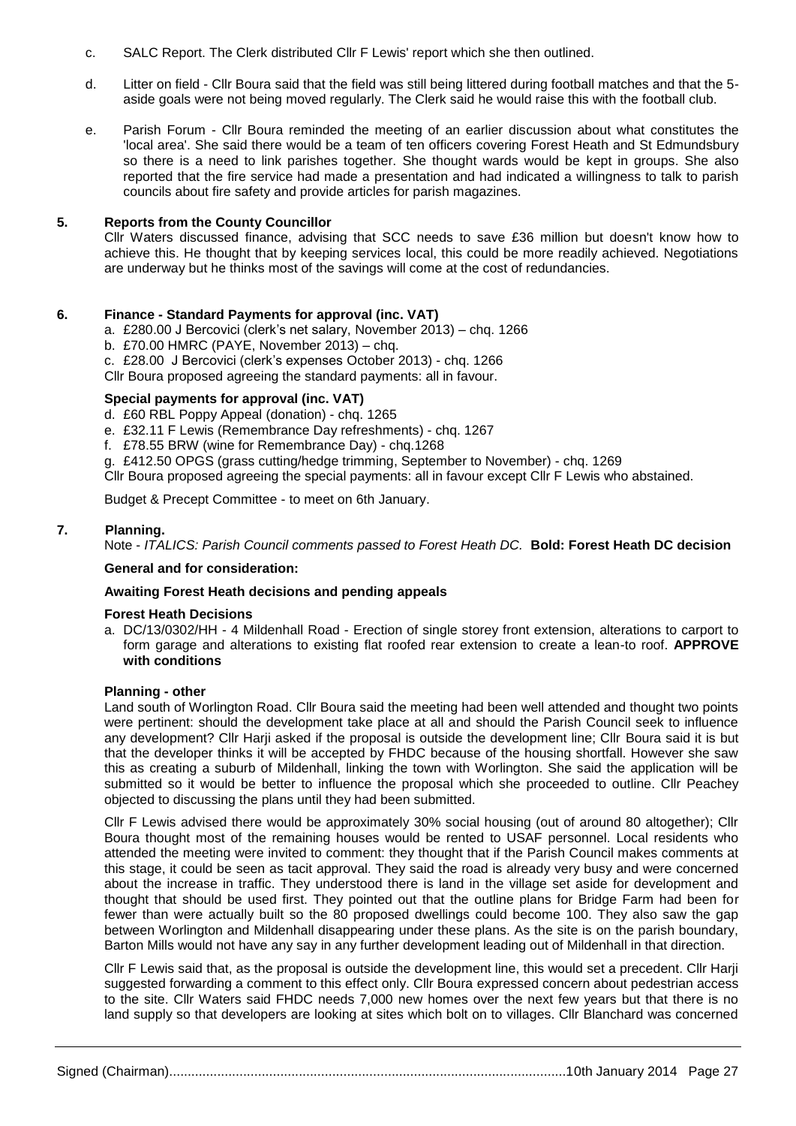- c. SALC Report. The Clerk distributed Cllr F Lewis' report which she then outlined.
- d. Litter on field Cllr Boura said that the field was still being littered during football matches and that the 5 aside goals were not being moved regularly. The Clerk said he would raise this with the football club.
- e. Parish Forum Cllr Boura reminded the meeting of an earlier discussion about what constitutes the 'local area'. She said there would be a team of ten officers covering Forest Heath and St Edmundsbury so there is a need to link parishes together. She thought wards would be kept in groups. She also reported that the fire service had made a presentation and had indicated a willingness to talk to parish councils about fire safety and provide articles for parish magazines.

### **5. Reports from the County Councillor**

Cllr Waters discussed finance, advising that SCC needs to save £36 million but doesn't know how to achieve this. He thought that by keeping services local, this could be more readily achieved. Negotiations are underway but he thinks most of the savings will come at the cost of redundancies.

#### **6. Finance - Standard Payments for approval (inc. VAT)**

- a. £280.00 J Bercovici (clerk's net salary, November 2013) chq. 1266
- b. £70.00 HMRC (PAYE, November 2013) chq.
- c. £28.00 J Bercovici (clerk's expenses October 2013) chq. 1266

Cllr Boura proposed agreeing the standard payments: all in favour.

### **Special payments for approval (inc. VAT)**

- d. £60 RBL Poppy Appeal (donation) chq. 1265
- e. £32.11 F Lewis (Remembrance Day refreshments) chq. 1267
- f. £78.55 BRW (wine for Remembrance Day) chq.1268
- g. £412.50 OPGS (grass cutting/hedge trimming, September to November) chq. 1269

Cllr Boura proposed agreeing the special payments: all in favour except Cllr F Lewis who abstained.

Budget & Precept Committee - to meet on 6th January.

### **7. Planning.**

Note - *ITALICS: Parish Council comments passed to Forest Heath DC.* **Bold: Forest Heath DC decision**

#### **General and for consideration:**

#### **Awaiting Forest Heath decisions and pending appeals**

#### **Forest Heath Decisions**

a. DC/13/0302/HH - 4 Mildenhall Road - Erection of single storey front extension, alterations to carport to form garage and alterations to existing flat roofed rear extension to create a lean-to roof. **APPROVE with conditions**

#### **Planning - other**

Land south of Worlington Road. Cllr Boura said the meeting had been well attended and thought two points were pertinent: should the development take place at all and should the Parish Council seek to influence any development? Cllr Harji asked if the proposal is outside the development line; Cllr Boura said it is but that the developer thinks it will be accepted by FHDC because of the housing shortfall. However she saw this as creating a suburb of Mildenhall, linking the town with Worlington. She said the application will be submitted so it would be better to influence the proposal which she proceeded to outline. Cllr Peachey objected to discussing the plans until they had been submitted.

Cllr F Lewis advised there would be approximately 30% social housing (out of around 80 altogether); Cllr Boura thought most of the remaining houses would be rented to USAF personnel. Local residents who attended the meeting were invited to comment: they thought that if the Parish Council makes comments at this stage, it could be seen as tacit approval. They said the road is already very busy and were concerned about the increase in traffic. They understood there is land in the village set aside for development and thought that should be used first. They pointed out that the outline plans for Bridge Farm had been for fewer than were actually built so the 80 proposed dwellings could become 100. They also saw the gap between Worlington and Mildenhall disappearing under these plans. As the site is on the parish boundary, Barton Mills would not have any say in any further development leading out of Mildenhall in that direction.

Cllr F Lewis said that, as the proposal is outside the development line, this would set a precedent. Cllr Harji suggested forwarding a comment to this effect only. Cllr Boura expressed concern about pedestrian access to the site. Cllr Waters said FHDC needs 7,000 new homes over the next few years but that there is no land supply so that developers are looking at sites which bolt on to villages. Cllr Blanchard was concerned

Signed (Chairman)...........................................................................................................10th January 2014 Page 27